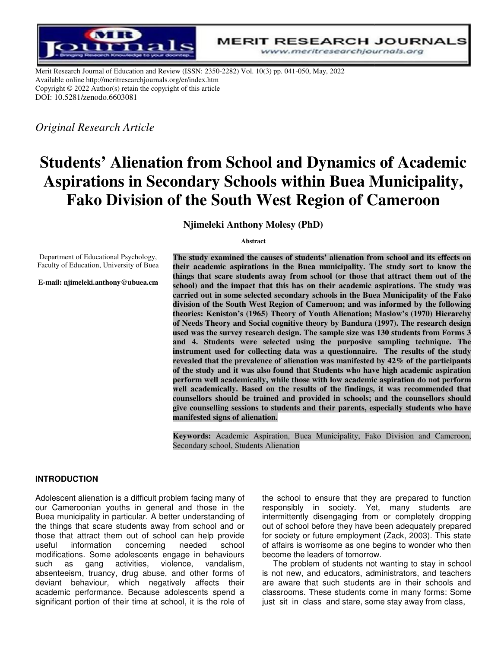

Merit Research Journal of Education and Review (ISSN: 2350-2282) Vol. 10(3) pp. 041-050, May, 2022 Available online http://meritresearchjournals.org/er/index.htm Copyright © 2022 Author(s) retain the copyright of this article DOI: 10.5281/zenodo.6603081

*Original Research Article*

# **Students' Alienation from School and Dynamics of Academic Aspirations in Secondary Schools within Buea Municipality,**  Fako Division of the South West Region of Cameroon

**Njimeleki Anthony Molesy (PhD)**

**Abstract** 

Department of Educational Psychology, Faculty of Education, University of Buea

**E-mail: njimeleki.anthony@ubuea.cm**

The study examined the causes of students' alienation from school and its effects on their academic aspirations in the Buea municipality. The study sort to know the things that scare students away from school (or those that attract them out of the school) and the impact that this has on their academic aspirations. The study was carried out in some selected secondary schools in the Buea Municipality of the Fako **division of the South West Region of Cameroon; and was informed by the following informed following**  theories: Keniston's (1965) Theory of Youth Alienation; Maslow's (1970) Hierarchy **of Needs Theory and Social cognitive theory by Bandura (19 (1997). The research design**  of Needs Theory and Social cognitive theory by Bandura (1997). The research design used was the survey research design. The sample size was 130 students from Forms 3 and 4. Students were selected using the purposive sampling technique. The instrument used for collecting data was a questionnaire. The results of the study revealed that the prevalence of alienation was manifested by 42% of the participants **revealed that the prevalence of alienation was manifested by 42% of the participants**  of the study and it was also found that Students who have high academic aspiration **perform well academically, while those with low academic aspiration do not perf perform**  perform well academically, while those with low academic aspiration do not perform<br>well academically. Based on the results of the findings, it was recommended that counsellors should be trained and provided in schools; and the counsellors should give counselling sessions to students and their parents, especially students who have **man manifested signs of alienation.** 

Keywords: Academic Aspiration, Buea Municipality, Fako Division and Cameroon, Secondary school, Students Alienation

#### **INTRODUCTION**

Adolescent alienation is a difficult problem facing many of our Cameroonian youths in general and those in the Buea municipality in particular. A better understanding of the things that scare students away from school and or those that attract them out of school can help provide useful information concerning needed school modifications. Some adolescents engage in behaviours such as gang activities, violence, vandalism, absenteeism, truancy, drug abuse, and other forms of deviant behaviour, which negatively affects their academic performance. Because adolescents spend a significant portion of their time at school, it is the role of Adolescent alienation is a difficult problem facing many of<br>our Cameroonian youths in general and those in the<br>Buea municipality in particular. A better understanding of<br>the things that scare students away from school and ralienation is a difficult problem facing many of the school to ensure that they are prepared to function roonian youths in general and those in the responsibly in society. Yet, many students are condited that scare studen

responsibly in society. Yet, many students are intermittently disengaging from or completely dropping out of school before they have been adequately prepared for society or future employment (Zack, 2003). This state of affairs is worrisome as one begins to wonder who then become the leaders of tomorrow. the school to ensure that they are prepared to function<br>responsibly in society. Yet, many students are<br>intermittently disengaging from or completely dropping<br>out of school before they have been adequately prepared<br>for soci

The problem of students not wanting to stay in school is not new, and educators, administrators, and teachers are aware that such students are in their schools and classrooms. These students come in many forms: Some just sit in class and stare, some stay away from class,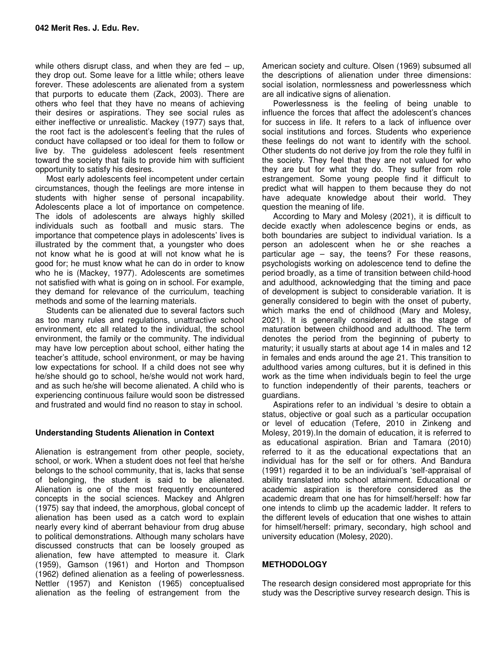while others disrupt class, and when they are fed  $-$  up, they drop out. Some leave for a little while; others leave forever. These adolescents are alienated from a system that purports to educate them (Zack, 2003). There are others who feel that they have no means of achieving their desires or aspirations. They see social rules as either ineffective or unrealistic. Mackey (1977) says that, the root fact is the adolescent's feeling that the rules of conduct have collapsed or too ideal for them to follow or live by. The guideless adolescent feels resentment toward the society that fails to provide him with sufficient opportunity to satisfy his desires.

Most early adolescents feel incompetent under certain circumstances, though the feelings are more intense in students with higher sense of personal incapability. Adolescents place a lot of importance on competence. The idols of adolescents are always highly skilled individuals such as football and music stars. The importance that competence plays in adolescents' lives is illustrated by the comment that, a youngster who does not know what he is good at will not know what he is good for; he must know what he can do in order to know who he is (Mackey, 1977). Adolescents are sometimes not satisfied with what is going on in school. For example, they demand for relevance of the curriculum, teaching methods and some of the learning materials.

Students can be alienated due to several factors such as too many rules and regulations, unattractive school environment, etc all related to the individual, the school environment, the family or the community. The individual may have low perception about school, either hating the teacher's attitude, school environment, or may be having low expectations for school. If a child does not see why he/she should go to school, he/she would not work hard, and as such he/she will become alienated. A child who is experiencing continuous failure would soon be distressed and frustrated and would find no reason to stay in school.

## **Understanding Students Alienation in Context**

Alienation is estrangement from other people, society, school, or work. When a student does not feel that he/she belongs to the school community, that is, lacks that sense of belonging, the student is said to be alienated. Alienation is one of the most frequently encountered concepts in the social sciences. Mackey and Ahlgren (1975) say that indeed, the amorphous, global concept of alienation has been used as a catch word to explain nearly every kind of aberrant behaviour from drug abuse to political demonstrations. Although many scholars have discussed constructs that can be loosely grouped as alienation, few have attempted to measure it. Clark (1959), Gamson (1961) and Horton and Thompson (1962) defined alienation as a feeling of powerlessness. Nettler (1957) and Keniston (1965) conceptualised alienation as the feeling of estrangement from the

American society and culture. Olsen (1969) subsumed all the descriptions of alienation under three dimensions: social isolation, normlessness and powerlessness which are all indicative signs of alienation.

Powerlessness is the feeling of being unable to influence the forces that affect the adolescent's chances for success in life. It refers to a lack of influence over social institutions and forces. Students who experience these feelings do not want to identify with the school. Other students do not derive joy from the role they fulfil in the society. They feel that they are not valued for who they are but for what they do. They suffer from role estrangement. Some young people find it difficult to predict what will happen to them because they do not have adequate knowledge about their world. They question the meaning of life.

According to Mary and Molesy (2021), it is difficult to decide exactly when adolescence begins or ends, as both boundaries are subject to individual variation. Is a person an adolescent when he or she reaches a particular age – say, the teens? For these reasons, psychologists working on adolescence tend to define the period broadly, as a time of transition between child-hood and adulthood, acknowledging that the timing and pace of development is subject to considerable variation. It is generally considered to begin with the onset of puberty, which marks the end of childhood (Mary and Molesy, 2021). It is generally considered it as the stage of maturation between childhood and adulthood. The term denotes the period from the beginning of puberty to maturity; it usually starts at about age 14 in males and 12 in females and ends around the age 21. This transition to adulthood varies among cultures, but it is defined in this work as the time when individuals begin to feel the urge to function independently of their parents, teachers or guardians.

Aspirations refer to an individual 's desire to obtain a status, objective or goal such as a particular occupation or level of education (Tefere, 2010 in Zinkeng and Molesy, 2019).In the domain of education, it is referred to as educational aspiration. Brian and Tamara (2010) referred to it as the educational expectations that an individual has for the self or for others. And Bandura (1991) regarded it to be an individual's 'self-appraisal of ability translated into school attainment. Educational or academic aspiration is therefore considered as the academic dream that one has for himself/herself: how far one intends to climb up the academic ladder. It refers to the different levels of education that one wishes to attain for himself/herself: primary, secondary, high school and university education (Molesy, 2020).

## **METHODOLOGY**

The research design considered most appropriate for this study was the Descriptive survey research design. This is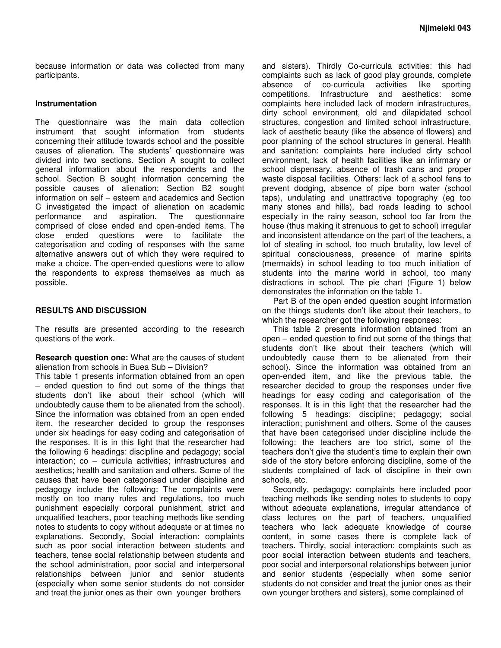because information or data was collected from many participants.

#### **Instrumentation**

The questionnaire was the main data collection instrument that sought information from students concerning their attitude towards school and the possible causes of alienation. The students' questionnaire was divided into two sections. Section A sought to collect general information about the respondents and the school. Section B sought information concerning the possible causes of alienation; Section B2 sought information on self – esteem and academics and Section C investigated the impact of alienation on academic<br>performance and aspiration. The questionnaire performance and aspiration. The questionnaire comprised of close ended and open-ended items. The close ended questions were to facilitate the categorisation and coding of responses with the same alternative answers out of which they were required to make a choice. The open-ended questions were to allow the respondents to express themselves as much as possible.

#### **RESULTS AND DISCUSSION**

The results are presented according to the research questions of the work.

**Research question one:** What are the causes of student alienation from schools in Buea Sub – Division?

This table 1 presents information obtained from an open – ended question to find out some of the things that students don't like about their school (which will undoubtedly cause them to be alienated from the school). Since the information was obtained from an open ended item, the researcher decided to group the responses under six headings for easy coding and categorisation of the responses. It is in this light that the researcher had the following 6 headings: discipline and pedagogy; social interaction; co – curricula activities; infrastructures and aesthetics; health and sanitation and others. Some of the causes that have been categorised under discipline and pedagogy include the following: The complaints were mostly on too many rules and regulations, too much punishment especially corporal punishment, strict and unqualified teachers, poor teaching methods like sending notes to students to copy without adequate or at times no explanations. Secondly, Social interaction: complaints such as poor social interaction between students and teachers, tense social relationship between students and the school administration, poor social and interpersonal relationships between junior and senior students (especially when some senior students do not consider and treat the junior ones as their own younger brothers

and sisters). Thirdly Co-curricula activities: this had complaints such as lack of good play grounds, complete absence of co-curricula activities like sporting competitions. Infrastructure and aesthetics: some complaints here included lack of modern infrastructures, dirty school environment, old and dilapidated school structures, congestion and limited school infrastructure, lack of aesthetic beauty (like the absence of flowers) and poor planning of the school structures in general. Health and sanitation: complaints here included dirty school environment, lack of health facilities like an infirmary or school dispensary, absence of trash cans and proper waste disposal facilities. Others: lack of a school fens to prevent dodging, absence of pipe born water (school taps), undulating and unattractive topography (eg too many stones and hills), bad roads leading to school especially in the rainy season, school too far from the house (thus making it strenuous to get to school) irregular and inconsistent attendance on the part of the teachers, a lot of stealing in school, too much brutality, low level of spiritual consciousness, presence of marine spirits (mermaids) in school leading to too much initiation of students into the marine world in school, too many distractions in school. The pie chart (Figure 1) below demonstrates the information on the table 1.

Part B of the open ended question sought information on the things students don't like about their teachers, to which the researcher got the following responses:

This table 2 presents information obtained from an open – ended question to find out some of the things that students don't like about their teachers (which will undoubtedly cause them to be alienated from their school). Since the information was obtained from an open-ended item, and like the previous table, the researcher decided to group the responses under five headings for easy coding and categorisation of the responses. It is in this light that the researcher had the following 5 headings: discipline; pedagogy; social interaction; punishment and others. Some of the causes that have been categorised under discipline include the following: the teachers are too strict, some of the teachers don't give the student's time to explain their own side of the story before enforcing discipline, some of the students complained of lack of discipline in their own schools, etc.

Secondly, pedagogy: complaints here included poor teaching methods like sending notes to students to copy without adequate explanations, irregular attendance of class lectures on the part of teachers, unqualified teachers who lack adequate knowledge of course content, in some cases there is complete lack of teachers. Thirdly, social interaction: complaints such as poor social interaction between students and teachers, poor social and interpersonal relationships between junior and senior students (especially when some senior students do not consider and treat the junior ones as their own younger brothers and sisters), some complained of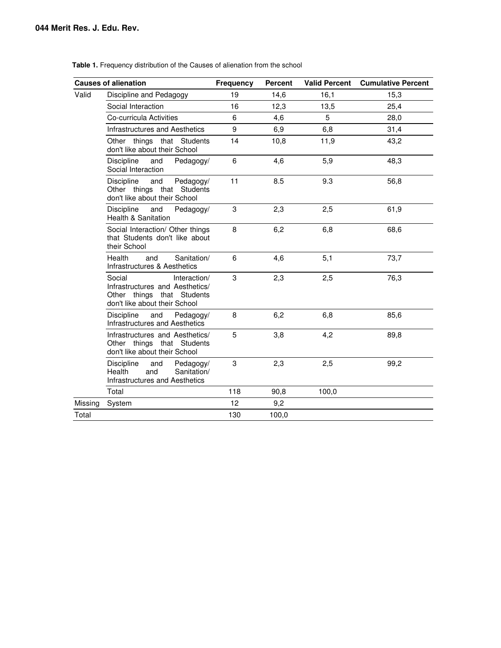|                    | <b>Causes of alienation</b>                                                                                              | Frequency | <b>Percent</b> | <b>Valid Percent</b> | <b>Cumulative Percent</b> |
|--------------------|--------------------------------------------------------------------------------------------------------------------------|-----------|----------------|----------------------|---------------------------|
| Valid              | Discipline and Pedagogy                                                                                                  |           | 14,6           | 16,1                 | 15,3                      |
| Social Interaction |                                                                                                                          | 16        | 12,3           | 13,5                 | 25,4                      |
|                    | Co-curricula Activities                                                                                                  |           | 4,6            | 5                    | 28,0                      |
|                    | Infrastructures and Aesthetics                                                                                           | 9         | 6,9            | 6,8                  | 31,4                      |
|                    | Other things that Students<br>don't like about their School                                                              | 14        | 10,8           | 11,9                 | 43,2                      |
|                    | Discipline<br>and<br>Pedagogy/<br>Social Interaction                                                                     | 6         | 4,6            | 5,9                  | 48,3                      |
|                    | <b>Discipline</b><br>and<br>Pedagogy/<br>Other things that Students<br>don't like about their School                     | 11        | 8.5            | 9.3                  | 56,8                      |
|                    | Discipline<br>and<br>Pedagogy/<br>Health & Sanitation                                                                    | 3         | 2,3            | 2,5                  | 61,9                      |
|                    | Social Interaction/ Other things<br>that Students don't like about<br>their School                                       | 8         | 6,2            | 6,8                  | 68,6                      |
|                    | Health<br>and<br>Sanitation/<br>Infrastructures & Aesthetics                                                             | 6         | 4.6            | 5,1                  | 73,7                      |
|                    | Social<br>Interaction/<br>Infrastructures and Aesthetics/<br>Other things that Students<br>don't like about their School | 3         | 2,3            | 2,5                  | 76,3                      |
|                    | Discipline<br>and<br>Pedagogy/<br><b>Infrastructures and Aesthetics</b>                                                  | 8         | 6,2            | 6,8                  | 85,6                      |
|                    | Infrastructures and Aesthetics/<br>Other things that Students<br>don't like about their School                           | 5         | 3,8            | 4,2                  | 89,8                      |
|                    | <b>Discipline</b><br>Pedagogy/<br>and<br>Health<br>and<br>Sanitation/<br>Infrastructures and Aesthetics                  | 3         | 2,3            | 2,5                  | 99,2                      |
|                    | Total                                                                                                                    | 118       | 90,8           | 100,0                |                           |
| Missing            | System                                                                                                                   | 12        | 9,2            |                      |                           |
| Total              |                                                                                                                          | 130       | 100,0          |                      |                           |

**Table 1.** Frequency distribution of the Causes of alienation from the school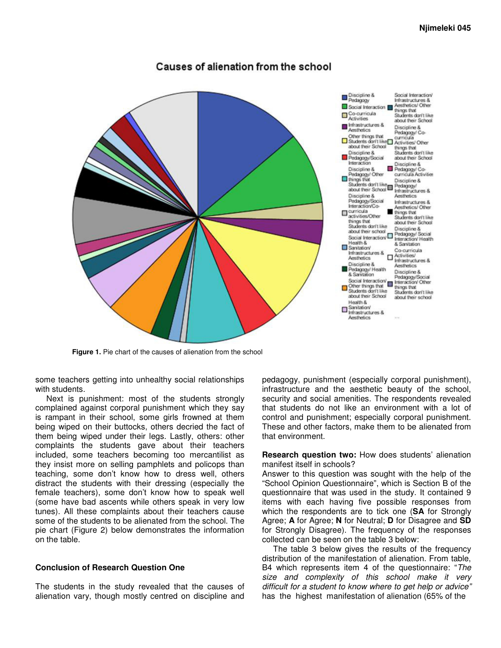# Causes of alienation from the school



**Figure 1.** Pie chart of the causes of alienation from the school

some teachers getting into unhealthy social relationships with students.

Next is punishment: most of the students strongly complained against corporal punishment which they say is rampant in their school, some girls frowned at them being wiped on their buttocks, others decried the fact of them being wiped under their legs. Lastly, others: other complaints the students gave about their teachers included, some teachers becoming too mercantilist as they insist more on selling pamphlets and policops than teaching, some don't know how to dress well, others distract the students with their dressing (especially the female teachers), some don't know how to speak well (some have bad ascents while others speak in very low tunes). All these complaints about their teachers cause some of the students to be alienated from the school. The pie chart (Figure 2) below demonstrates the information on the table.

### **Conclusion of Research Question One**

The students in the study revealed that the causes of alienation vary, though mostly centred on discipline and

pedagogy, punishment (especially corporal punishment), infrastructure and the aesthetic beauty of the school, security and social amenities. The respondents revealed that students do not like an environment with a lot of control and punishment; especially corporal punishment. These and other factors, make them to be alienated from that environment.

**Research question two:** How does students' alienation manifest itself in schools?

Answer to this question was sought with the help of the "School Opinion Questionnaire", which is Section B of the questionnaire that was used in the study. It contained 9 items with each having five possible responses from which the respondents are to tick one (**SA** for Strongly Agree; **A** for Agree; **N** for Neutral; **D** for Disagree and **SD** for Strongly Disagree). The frequency of the responses collected can be seen on the table 3 below:

The table 3 below gives the results of the frequency distribution of the manifestation of alienation. From table, B4 which represents item 4 of the questionnaire: "The size and complexity of this school make it very difficult for a student to know where to get help or advice" has the highest manifestation of alienation (65% of the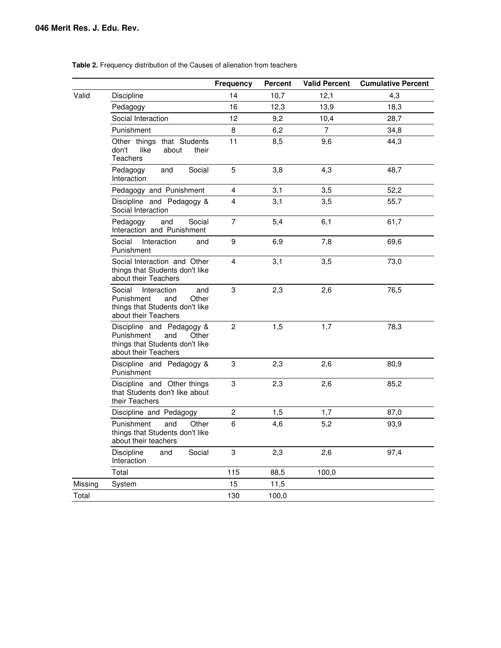#### **Table 2.** Frequency distribution of the Causes of alienation from teachers

|         |                                                                                                                       | <b>Frequency</b> | <b>Percent</b> | <b>Valid Percent</b> | <b>Cumulative Percent</b> |
|---------|-----------------------------------------------------------------------------------------------------------------------|------------------|----------------|----------------------|---------------------------|
| Valid   | Discipline                                                                                                            | 14               | 10,7           | 12,1                 | 4,3                       |
|         | Pedagogy                                                                                                              | 16               | 12,3           | 13,9                 | 18,3                      |
|         | Social Interaction                                                                                                    | 12               | 9,2            | 10,4                 | 28,7                      |
|         | Punishment                                                                                                            | 8                | 6,2            | 7                    | 34,8                      |
|         | Other things that Students<br>don't<br>like<br>about<br>their<br>Teachers                                             | 11               | 8,5            | 9,6                  | 44,3                      |
|         | Social<br>Pedagogy<br>and<br>Interaction                                                                              | 5                | 3,8            | 4,3                  | 48,7                      |
|         | Pedagogy and Punishment                                                                                               | 4                | 3,1            | 3,5                  | 52,2                      |
|         | Discipline and Pedagogy &<br>Social Interaction                                                                       | 4                | 3,1            | 3,5                  | 55,7                      |
|         | Social<br>Pedagogy<br>and<br>Interaction and Punishment                                                               | $\overline{7}$   | 5,4            | 6,1                  | 61,7                      |
|         | Social<br>Interaction<br>and<br>Punishment                                                                            | 9                | 6,9            | 7,8                  | 69,6                      |
|         | Social Interaction and Other<br>things that Students don't like<br>about their Teachers                               | 4                | 3,1            | 3,5                  | 73,0                      |
|         | Social<br>Interaction<br>and<br>Punishment<br>and<br>Other<br>things that Students don't like<br>about their Teachers | 3                | 2,3            | 2,6                  | 76,5                      |
|         | Discipline and Pedagogy &<br>Punishment<br>and<br>Other<br>things that Students don't like<br>about their Teachers    | $\overline{c}$   | 1,5            | 1,7                  | 78,3                      |
|         | Discipline and Pedagogy &<br>Punishment                                                                               | 3                | 2,3            | 2,6                  | 80,9                      |
|         | Discipline and Other things<br>that Students don't like about<br>their Teachers                                       | 3                | 2,3            | 2,6                  | 85,2                      |
|         | Discipline and Pedagogy                                                                                               | $\overline{c}$   | 1,5            | 1,7                  | 87,0                      |
|         | Punishment<br>and<br>Other<br>things that Students don't like<br>about their teachers                                 | 6                | 4,6            | 5,2                  | 93,9                      |
|         | <b>Discipline</b><br>Social<br>and<br>Interaction                                                                     | 3                | 2,3            | 2,6                  | 97,4                      |
|         | Total                                                                                                                 | 115              | 88,5           | 100,0                |                           |
| Missing | System                                                                                                                | 15               | 11,5           |                      |                           |
| Total   |                                                                                                                       | 130              | 100,0          |                      |                           |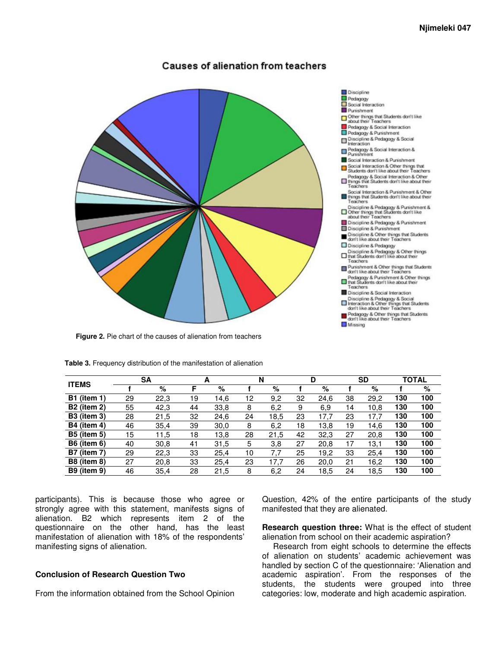# **Causes of alienation from teachers**



**Figure 2.** Pie chart of the causes of alienation from teachers



| <b>ITEMS</b>       |    | SΑ   |    | A    | N  |      |    | D    |    | <b>SD</b> |     | <b>TOTAL</b> |
|--------------------|----|------|----|------|----|------|----|------|----|-----------|-----|--------------|
|                    |    | %    | F  | %    |    | %    |    | %    |    | %         |     | %            |
| <b>B1</b> (item 1) | 29 | 22,3 | 19 | 14,6 | 12 | 9,2  | 32 | 24,6 | 38 | 29,2      | 130 | 100          |
| <b>B2</b> (item 2) | 55 | 42,3 | 44 | 33,8 | 8  | 6,2  | 9  | 6,9  | 14 | 10.8      | 130 | 100          |
| <b>B3</b> (item 3) | 28 | 21,5 | 32 | 24.6 | 24 | 18.5 | 23 | 17.7 | 23 | 17.7      | 130 | 100          |
| <b>B4</b> (item 4) | 46 | 35,4 | 39 | 30,0 | 8  | 6,2  | 18 | 13,8 | 19 | 14.6      | 130 | 100          |
| <b>B5 (item 5)</b> | 15 | 11,5 | 18 | 13,8 | 28 | 21.5 | 42 | 32,3 | 27 | 20.8      | 130 | 100          |
| <b>B6</b> (item 6) | 40 | 30,8 | 41 | 31,5 | 5  | 3,8  | 27 | 20,8 | 17 | 13,1      | 130 | 100          |
| <b>B7</b> (item 7) | 29 | 22,3 | 33 | 25.4 | 10 | 7.7  | 25 | 19.2 | 33 | 25.4      | 130 | 100          |
| <b>B8 (item 8)</b> | 27 | 20,8 | 33 | 25.4 | 23 | 17.7 | 26 | 20.0 | 21 | 16.2      | 130 | 100          |
| <b>B9</b> (item 9) | 46 | 35,4 | 28 | 21,5 | 8  | 6,2  | 24 | 18,5 | 24 | 18,5      | 130 | 100          |

**Table 3.** Frequency distribution of the manifestation of alienation

participants). This is because those who agree or strongly agree with this statement, manifests signs of alienation. B2 which represents item 2 of the questionnaire on the other hand, has the least manifestation of alienation with 18% of the respondents' manifesting signs of alienation.

#### **Conclusion of Research Question Two**

From the information obtained from the School Opinion

Question, 42% of the entire participants of the study manifested that they are alienated.

**Research question three:** What is the effect of student alienation from school on their academic aspiration?

Research from eight schools to determine the effects of alienation on students' academic achievement was handled by section C of the questionnaire: 'Alienation and academic aspiration'. From the responses of the students, the students were grouped into three categories: low, moderate and high academic aspiration.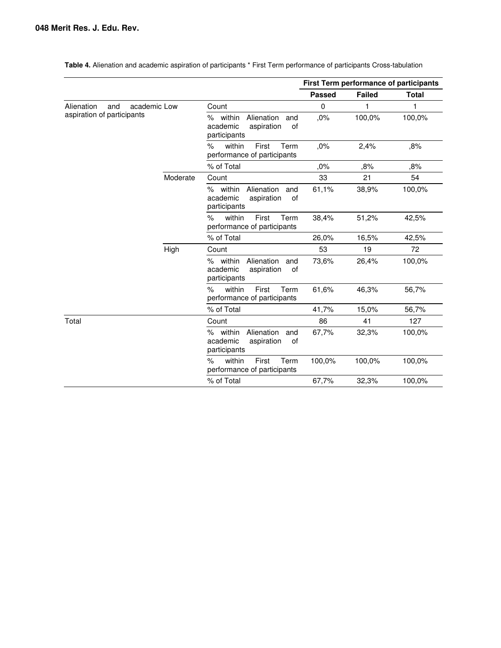|                                   |          |                                                                                  | <b>First Term performance of participants</b> |               |              |
|-----------------------------------|----------|----------------------------------------------------------------------------------|-----------------------------------------------|---------------|--------------|
|                                   |          |                                                                                  | <b>Passed</b>                                 | <b>Failed</b> | <b>Total</b> |
| Alienation<br>academic Low<br>and |          | Count                                                                            | 0                                             |               | 1            |
| aspiration of participants        |          | % within<br>Alienation<br>and<br>academic<br>aspiration<br>οf<br>participants    | ,0%                                           | 100,0%        | 100,0%       |
|                                   |          | $\%$<br>within<br>First<br>Term<br>performance of participants                   | ,0%                                           | 2,4%          | ,8%          |
|                                   |          | % of Total                                                                       | ,0%                                           | ,8%           | ,8%          |
|                                   | Moderate | Count                                                                            | 33                                            | 21            | 54           |
|                                   |          | % within<br>Alienation<br>and<br>academic<br>aspiration<br>of<br>participants    | 61,1%                                         | 38,9%         | 100,0%       |
|                                   |          | within<br>Term<br>$\%$<br>First<br>performance of participants                   | 38,4%                                         | 51,2%         | 42,5%        |
|                                   |          | % of Total                                                                       | 26,0%                                         | 16,5%         | 42,5%        |
|                                   | High     | Count                                                                            | 53                                            | 19            | 72           |
|                                   |          | within<br>Alienation<br>℅<br>and<br>academic<br>aspiration<br>0f<br>participants | 73,6%                                         | 26,4%         | 100,0%       |
|                                   |          | $\%$<br>within<br>First<br>Term<br>performance of participants                   | 61,6%                                         | 46,3%         | 56,7%        |
|                                   |          | % of Total                                                                       | 41,7%                                         | 15,0%         | 56,7%        |
| Total                             |          | Count                                                                            | 86                                            | 41            | 127          |
|                                   |          | within<br>Alienation<br>%<br>and<br>academic<br>aspiration<br>0f<br>participants | 67,7%                                         | 32,3%         | 100,0%       |
|                                   |          | within<br>$\%$<br>First<br>Term<br>performance of participants                   | 100,0%                                        | 100,0%        | 100,0%       |
|                                   |          | % of Total                                                                       | 67,7%                                         | 32,3%         | 100,0%       |

**Table 4.** Alienation and academic aspiration of participants \* First Term performance of participants Cross-tabulation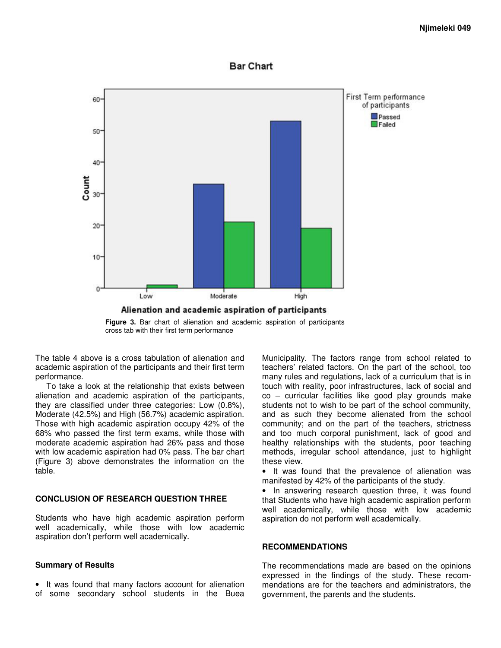## **Bar Chart**



**Figure 3.** Bar chart of alienation and academic aspiration of participants cross tab with their first term performance

The table 4 above is a cross tabulation of alienation and academic aspiration of the participants and their first term performance.

To take a look at the relationship that exists between alienation and academic aspiration of the participants, they are classified under three categories: Low (0.8%), Moderate (42.5%) and High (56.7%) academic aspiration. Those with high academic aspiration occupy 42% of the 68% who passed the first term exams, while those with moderate academic aspiration had 26% pass and those with low academic aspiration had 0% pass. The bar chart (Figure 3) above demonstrates the information on the table.

#### **CONCLUSION OF RESEARCH QUESTION THREE**

Students who have high academic aspiration perform well academically, while those with low academic aspiration don't perform well academically.

#### **Summary of Results**

• It was found that many factors account for alienation of some secondary school students in the Buea

Municipality. The factors range from school related to teachers' related factors. On the part of the school, too many rules and regulations, lack of a curriculum that is in touch with reality, poor infrastructures, lack of social and co – curricular facilities like good play grounds make students not to wish to be part of the school community, and as such they become alienated from the school community; and on the part of the teachers, strictness and too much corporal punishment, lack of good and healthy relationships with the students, poor teaching methods, irregular school attendance, just to highlight these view.

• It was found that the prevalence of alienation was manifested by 42% of the participants of the study.

• In answering research question three, it was found that Students who have high academic aspiration perform well academically, while those with low academic aspiration do not perform well academically.

#### **RECOMMENDATIONS**

The recommendations made are based on the opinions expressed in the findings of the study. These recommendations are for the teachers and administrators, the government, the parents and the students.